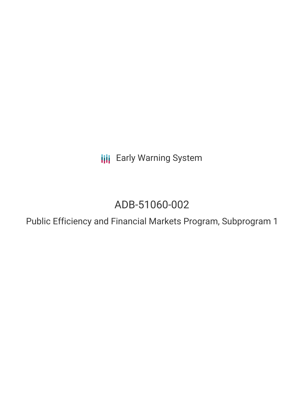**III** Early Warning System

# ADB-51060-002

Public Efficiency and Financial Markets Program, Subprogram 1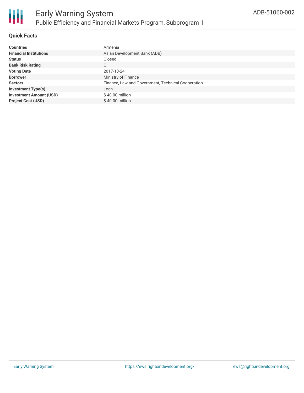

#### **Quick Facts**

| <b>Countries</b>               | Armenia                                            |
|--------------------------------|----------------------------------------------------|
| <b>Financial Institutions</b>  | Asian Development Bank (ADB)                       |
| <b>Status</b>                  | Closed                                             |
| <b>Bank Risk Rating</b>        | C                                                  |
| <b>Voting Date</b>             | 2017-10-24                                         |
| <b>Borrower</b>                | Ministry of Finance                                |
| <b>Sectors</b>                 | Finance, Law and Government, Technical Cooperation |
| <b>Investment Type(s)</b>      | Loan                                               |
| <b>Investment Amount (USD)</b> | $$40.00$ million                                   |
| <b>Project Cost (USD)</b>      | $$40.00$ million                                   |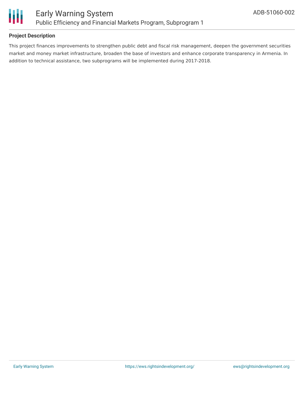

#### **Project Description**

This project finances improvements to strengthen public debt and fiscal risk management, deepen the government securities market and money market infrastructure, broaden the base of investors and enhance corporate transparency in Armenia. In addition to technical assistance, two subprograms will be implemented during 2017-2018.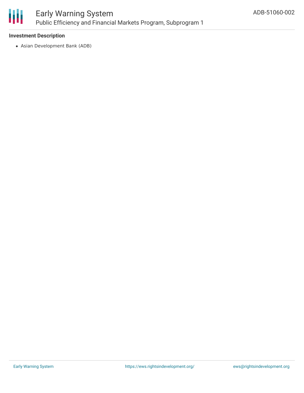

#### **Investment Description**

Asian Development Bank (ADB)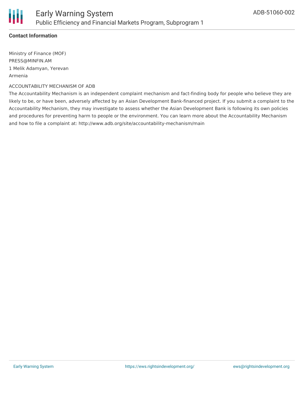### **Contact Information**

Ministry of Finance (MOF) PRESS@MINFIN.AM 1 Melik Adamyan, Yerevan Armenia

ACCOUNTABILITY MECHANISM OF ADB

The Accountability Mechanism is an independent complaint mechanism and fact-finding body for people who believe they are likely to be, or have been, adversely affected by an Asian Development Bank-financed project. If you submit a complaint to the Accountability Mechanism, they may investigate to assess whether the Asian Development Bank is following its own policies and procedures for preventing harm to people or the environment. You can learn more about the Accountability Mechanism and how to file a complaint at: http://www.adb.org/site/accountability-mechanism/main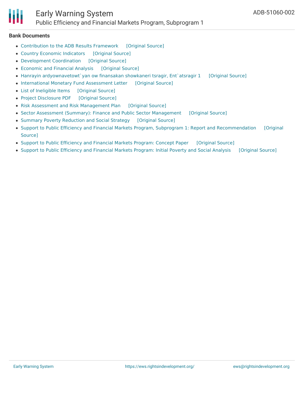

## Early Warning System Public Efficiency and Financial Markets Program, Subprogram 1

#### **Bank Documents**

- [Contribution](https://ewsdata.rightsindevelopment.org/files/documents/02/ADB-51060-002_bgfgnS6.pdf) to the ADB Results Framework [\[Original](https://www.adb.org/projects/documents/arm-51060-002-rrp) Source]
- Country Economic [Indicators](https://ewsdata.rightsindevelopment.org/files/documents/02/ADB-51060-002_B2Lm6pm.pdf) [\[Original](https://www.adb.org/projects/documents/arm-51060-002-rrp) Source]
- [Development](https://ewsdata.rightsindevelopment.org/files/documents/02/ADB-51060-002_mGpFNKw.pdf) Coordination [\[Original](https://www.adb.org/projects/documents/arm-51060-002-rrp) Source]
- [Economic](https://ewsdata.rightsindevelopment.org/files/documents/02/ADB-51060-002_twWO4Mo.pdf) and Financial Analysis [\[Original](https://www.adb.org/projects/documents/arm-51060-002-rrp) Source]
- Hanrayin [ardyownavetowt`yan](https://ewsdata.rightsindevelopment.org/files/documents/02/ADB-51060-002_U7fQu5W.pdf) ow finansakan showkaneri tsragir, Ent`atsragir 1 [\[Original](https://www.adb.org/hy/projects/documents/51060-002-project-data-sheet) Source]
- [International](https://ewsdata.rightsindevelopment.org/files/documents/02/ADB-51060-002_8cYO1cF.pdf) Monetary Fund Assessment Letter [\[Original](https://www.adb.org/projects/documents/arm-51060-002-rrp) Source]
- List of [Ineligible](https://ewsdata.rightsindevelopment.org/files/documents/02/ADB-51060-002_a1Nd01N.pdf) Items [\[Original](https://www.adb.org/projects/documents/arm-51060-002-rrp) Source]
- Project [Disclosure](https://ewsdata.rightsindevelopment.org/files/documents/02/ADB-51060-002.pdf) PDF [\[Original](https://www.adb.org/printpdf/projects/51060-002/main) Source]
- Risk Assessment and Risk [Management](https://ewsdata.rightsindevelopment.org/files/documents/02/ADB-51060-002_dGpKZYq.pdf) Plan [\[Original](https://www.adb.org/projects/documents/arm-51060-002-rrp) Source]
- Sector Assessment (Summary): Finance and Public Sector [Management](https://ewsdata.rightsindevelopment.org/files/documents/02/ADB-51060-002_WjabCvZ.pdf) [\[Original](https://www.adb.org/projects/documents/arm-51060-002-rrp) Source]
- Summary Poverty [Reduction](https://ewsdata.rightsindevelopment.org/files/documents/02/ADB-51060-002_ZRYhk4V.pdf) and Social Strategy [\[Original](https://www.adb.org/projects/documents/arm-51060-002-rrp) Source]
- Support to Public Efficiency and Financial Markets Program, Subprogram 1: Report and [Recommendation](https://www.adb.org/projects/documents/arm-51060-002-rrp) [Original Source]
- Support to Public [Efficiency](https://ewsdata.rightsindevelopment.org/files/documents/02/ADB-51060-002_CEUUGxk.pdf) and Financial Markets Program: Concept Paper [\[Original](https://www.adb.org/projects/documents/arm-51060-002-cp) Source]
- Support to Public [Efficiency](https://ewsdata.rightsindevelopment.org/files/documents/02/ADB-51060-002_YWqAumg.pdf) and Financial Markets Program: Initial Poverty and Social Analysis [\[Original](https://www.adb.org/projects/documents/arm-51060-002-ipsa) Source]